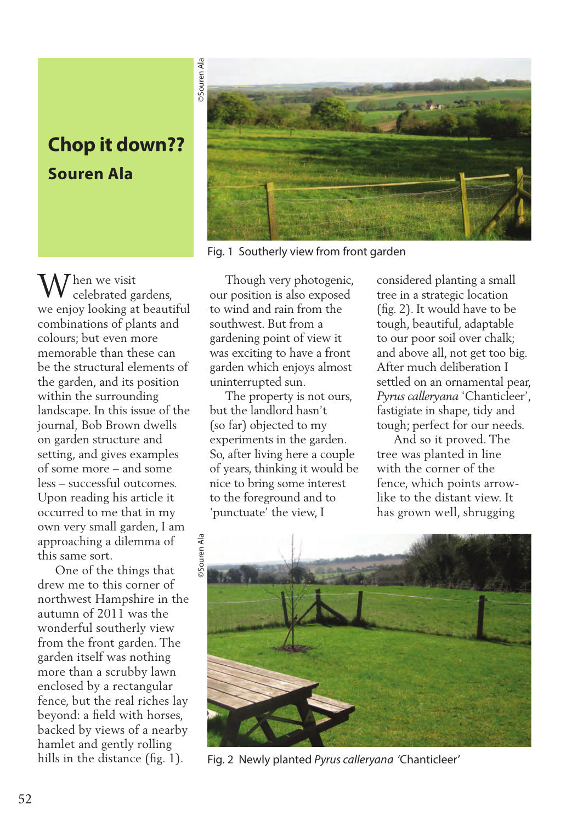## **Chop it down?? Souren Ala**

 $\mathbf{W}$ hen we visit celebrated gardens, we enjoy looking at beautiful combinations of plants and colours; but even more memorable than these can be the structural elements of the garden, and its position within the surrounding landscape. In this issue of the journal*,* Bob Brown dwells on garden structure and setting, and gives examples of some more – and some less – successful outcomes. Upon reading his article it occurred to me that in my own very small garden, I am approaching a dilemma of this same sort.

 One of the things that drew me to this corner of northwest Hampshire in the autumn of 2011 was the wonderful southerly view from the front garden. The garden itself was nothing more than a scrubby lawn enclosed by a rectangular fence, but the real riches lay beyond: a field with horses, backed by views of a nearby hamlet and gently rolling hills in the distance (fig. 1).



Fig. 1 Southerly view from front garden

 Though very photogenic, our position is also exposed to wind and rain from the southwest. But from a gardening point of view it was exciting to have a front garden which enjoys almost uninterrupted sun.

 The property is not ours, but the landlord hasn't (so far) objected to my experiments in the garden. So, after living here a couple of years, thinking it would be nice to bring some interest to the foreground and to 'punctuate' the view, I

considered planting a small tree in a strategic location (fig. 2). It would have to be tough, beautiful, adaptable to our poor soil over chalk; and above all, not get too big. After much deliberation I settled on an ornamental pear, *Pyrus calleryana* 'Chanticleer', fastigiate in shape, tidy and tough; perfect for our needs.

 And so it proved. The tree was planted in line with the corner of the fence, which points arrowlike to the distant view. It has grown well, shrugging



Fig. 2 Newly planted *Pyrus calleryana* 'Chanticleer'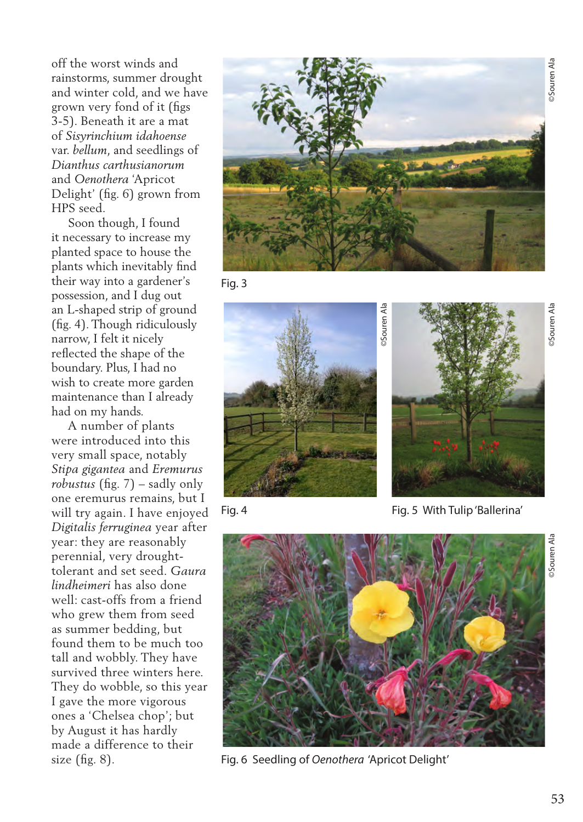©Souren Ala

**Souren Ala** 

off the worst winds and rainstorms, summer drought and winter cold, and we have grown very fond of it (figs 3-5). Beneath it are a mat of *Sisyrinchium idahoense* var. *bellum*, and seedlings of *Dianthus carthusianorum* and *Oenothera* 'Apricot Delight' (fig. 6) grown from HPS seed.

 Soon though, I found it necessary to increase my planted space to house the plants which inevitably find their way into a gardener's possession, and I dug out an L-shaped strip of ground (fig. 4). Though ridiculously narrow, I felt it nicely reflected the shape of the boundary. Plus, I had no wish to create more garden maintenance than I already had on my hands.

 A number of plants were introduced into this very small space, notably *Stipa gigantea* and *Eremurus robustus* (fig. 7) – sadly only one eremurus remains, but I will try again. I have enjoyed *Digitalis ferruginea* year after year: they are reasonably perennial, very droughttolerant and set seed. *Gaura lindheimeri* has also done well: cast-offs from a friend who grew them from seed as summer bedding, but found them to be much too tall and wobbly. They have survived three winters here. They do wobble, so this year I gave the more vigorous ones a 'Chelsea chop'; but by August it has hardly made a difference to their size  $(fig. 8)$ .



Fig. 3





Fig. 4 Fig. 5 With Tulip 'Ballerina'



Fig. 6 Seedling of *Oenothera* 'Apricot Delight'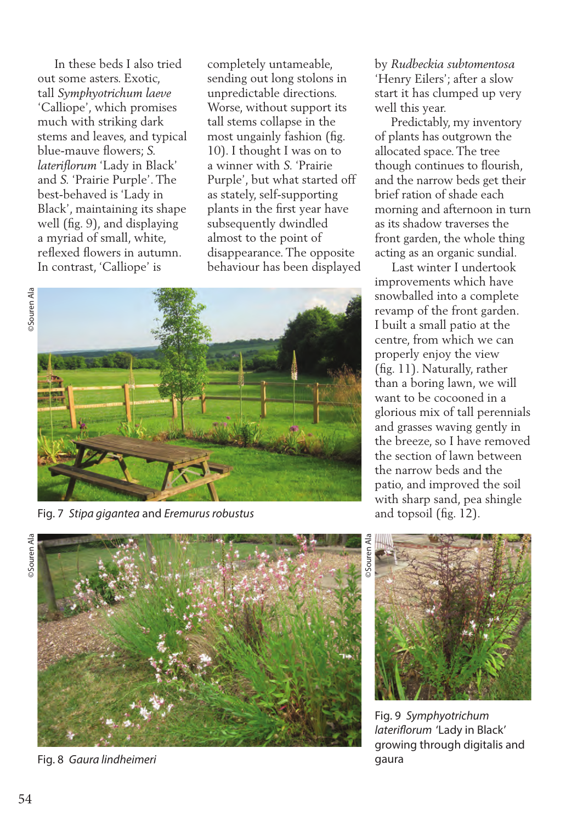In these beds I also tried out some asters. Exotic, tall *Symphyotrichum laeve*  'Calliope', which promises much with striking dark stems and leaves, and typical blue-mauve flowers; *S. lateriflorum* 'Lady in Black' and *S.* 'Prairie Purple'. The best-behaved is 'Lady in Black', maintaining its shape well (fig. 9), and displaying a myriad of small, white, reflexed flowers in autumn. In contrast, 'Calliope' is

completely untameable, sending out long stolons in unpredictable directions. Worse, without support its tall stems collapse in the most ungainly fashion (fig. 10). I thought I was on to a winner with *S.* 'Prairie Purple', but what started off as stately, self-supporting plants in the first year have subsequently dwindled almost to the point of disappearance. The opposite behaviour has been displayed





Fig. 7 *Stipa gigantea* and *Eremurus robustus*

by *Rudbeckia subtomentosa*  'Henry Eilers'; after a slow start it has clumped up very well this year.

 Predictably, my inventory of plants has outgrown the allocated space. The tree though continues to flourish, and the narrow beds get their brief ration of shade each morning and afternoon in turn as its shadow traverses the front garden, the whole thing acting as an organic sundial.

 Last winter I undertook improvements which have snowballed into a complete revamp of the front garden. I built a small patio at the centre, from which we can properly enjoy the view (fig. 11). Naturally, rather than a boring lawn, we will want to be cocooned in a glorious mix of tall perennials and grasses waving gently in the breeze, so I have removed the section of lawn between the narrow beds and the patio, and improved the soil with sharp sand, pea shingle and topsoil (fig. 12).



Fig. 8 *Gaura lindheimeri*



Fig. 9 *Symphyotrichum lateriflorum* 'Lady in Black' growing through digitalis and gaura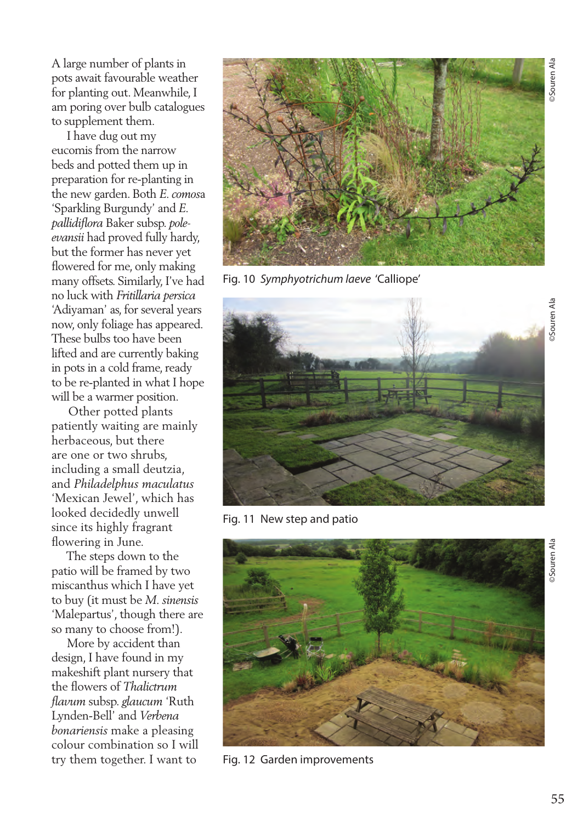A large number of plants in pots await favourable weather for planting out. Meanwhile, I am poring over bulb catalogues to supplement them.

 I have dug out my eucomis from the narrow beds and potted them up in preparation for re-planting in the new garden. Both *E. comos*a 'Sparkling Burgundy' and *E. pallidiflora* Baker subsp. *poleevansii* had proved fully hardy, but the former has never yet flowered for me, only making many offsets. Similarly, I've had no luck with *Fritillaria persica* 'Adiyaman' as, for several years now, only foliage has appeared. These bulbs too have been lifted and are currently baking in pots in a cold frame, ready to be re-planted in what I hope will be a warmer position.

 Other potted plants patiently waiting are mainly herbaceous, but there are one or two shrubs, including a small deutzia, and *Philadelphus maculatus* 'Mexican Jewel', which has looked decidedly unwell since its highly fragrant flowering in June.

 The steps down to the patio will be framed by two miscanthus which I have yet to buy (it must be *M. sinensis* 'Malepartus', though there are so many to choose from!).

 More by accident than design, I have found in my makeshift plant nursery that the flowers of *Thalictrum flavum* subsp. *glaucum* 'Ruth Lynden-Bell' and *Verbena bonariensis* make a pleasing colour combination so I will try them together. I want to



Fig. 10 *Symphyotrichum laeve* 'Calliope'



Fig. 11 New step and patio



Fig. 12 Garden improvements